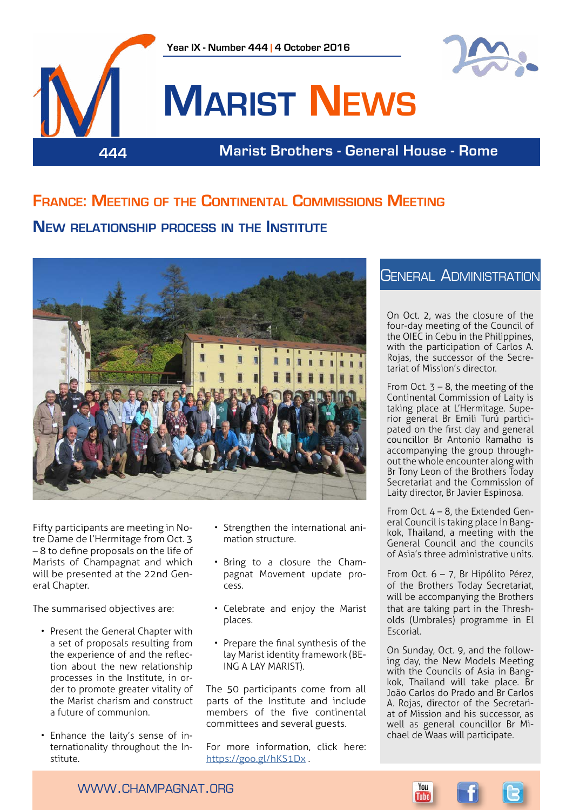

# **France: Meeting of the Continental Commissions Meeting New relationship process in the Institute**



Fifty participants are meeting in Notre Dame de l'Hermitage from Oct. 3 – 8 to define proposals on the life of Marists of Champagnat and which will be presented at the 22nd General Chapter.

The summarised objectives are:

- Present the General Chapter with a set of proposals resulting from the experience of and the reflection about the new relationship processes in the Institute, in order to promote greater vitality of the Marist charism and construct a future of communion.
- Enhance the laity's sense of internationality throughout the Institute.
- Strengthen the international animation structure.
- Bring to a closure the Champagnat Movement update process.
- Celebrate and enjoy the Marist places.
- Prepare the final synthesis of the lay Marist identity framework (BE-ING A LAY MARIST).

The 50 participants come from all parts of the Institute and include .<br>members of the five continental committees and several guests.

For more information, click here: <https://goo.gl/hKS1Dx>.

## General Administration

On Oct. 2, was the closure of the four-day meeting of the Council of the OIEC in Cebu in the Philippines, with the participation of Carlos A. Rojas, the successor of the Secretariat of Mission's director.

From Oct.  $3 - 8$ , the meeting of the Continental Commission of Laity is taking place at L'Hermitage. Superior general Br Emili Turú participated on the first day and general councillor Br Antonio Ramalho is accompanying the group throughout the whole encounter along with Br Tony Leon of the Brothers Today Secretariat and the Commission of Laity director, Br Javier Espinosa.

From Oct. 4 – 8, the Extended General Council is taking place in Bangkok, Thailand, a meeting with the General Council and the councils of Asia's three administrative units.

From Oct. 6 – 7, Br Hipólito Pérez, of the Brothers Today Secretariat, will be accompanying the Brothers that are taking part in the Thresholds (Umbrales) programme in El Escorial.

On Sunday, Oct. 9, and the following day, the New Models Meeting with the Councils of Asia in Bangkok, Thailand will take place. Br João Carlos do Prado and Br Carlos A. Rojas, director of the Secretariat of Mission and his successor, as well as general councillor Br Michael de Waas will participate.

www.champagnat.org

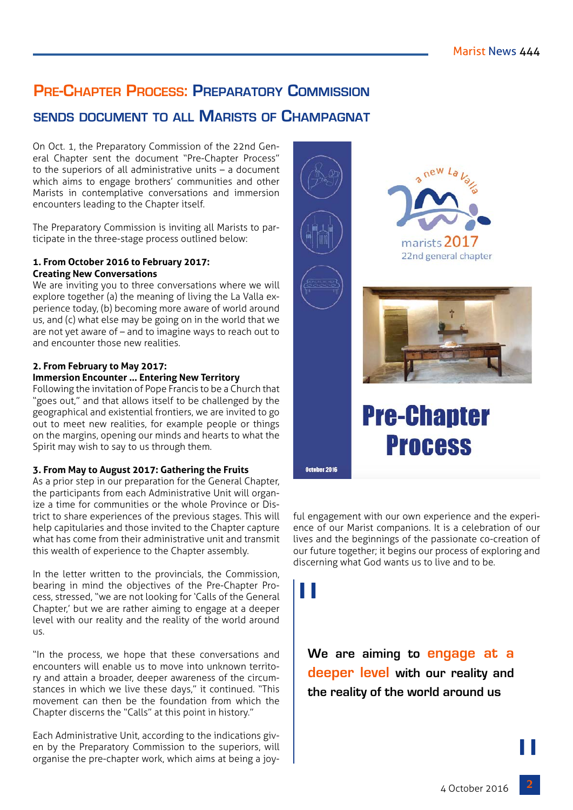# **Pre-Chapter Process: Preparatory Commission**

## **sends document to all Marists of Champagnat**

On Oct. 1, the Preparatory Commission of the 22nd General Chapter sent the document "Pre-Chapter Process" to the superiors of all administrative units – a document which aims to engage brothers' communities and other Marists in contemplative conversations and immersion encounters leading to the Chapter itself.

The Preparatory Commission is inviting all Marists to participate in the three-stage process outlined below:

### **1. From October 2016 to February 2017: Creating New Conversations**

We are inviting you to three conversations where we will explore together (a) the meaning of living the La Valla experience today, (b) becoming more aware of world around us, and (c) what else may be going on in the world that we are not yet aware of – and to imagine ways to reach out to and encounter those new realities.

### **2. From February to May 2017:**

### **Immersion Encounter … Entering New Territory**

Following the invitation of Pope Francis to be a Church that "goes out," and that allows itself to be challenged by the geographical and existential frontiers, we are invited to go out to meet new realities, for example people or things on the margins, opening our minds and hearts to what the Spirit may wish to say to us through them.

### **3. From May to August 2017: Gathering the Fruits**

As a prior step in our preparation for the General Chapter, the participants from each Administrative Unit will organize a time for communities or the whole Province or District to share experiences of the previous stages. This will help capitularies and those invited to the Chapter capture what has come from their administrative unit and transmit this wealth of experience to the Chapter assembly.

In the letter written to the provincials, the Commission, bearing in mind the objectives of the Pre-Chapter Process, stressed, "we are not looking for 'Calls of the General Chapter,' but we are rather aiming to engage at a deeper level with our reality and the reality of the world around us.

"In the process, we hope that these conversations and encounters will enable us to move into unknown territory and attain a broader, deeper awareness of the circumstances in which we live these days," it continued. "This movement can then be the foundation from which the Chapter discerns the "Calls" at this point in history."

Each Administrative Unit, according to the indications given by the Preparatory Commission to the superiors, will organise the pre-chapter work, which aims at being a joy-







# **Pre-Chapter Process**

October 2016

ful engagement with our own experience and the experience of our Marist companions. It is a celebration of our lives and the beginnings of the passionate co-creation of our future together; it begins our process of exploring and discerning what God wants us to live and to be.

"

**We are aiming to engage at a deeper level with our reality and the reality of the world around us** 

 $\begin{bmatrix} 1 \\ 2 \end{bmatrix}$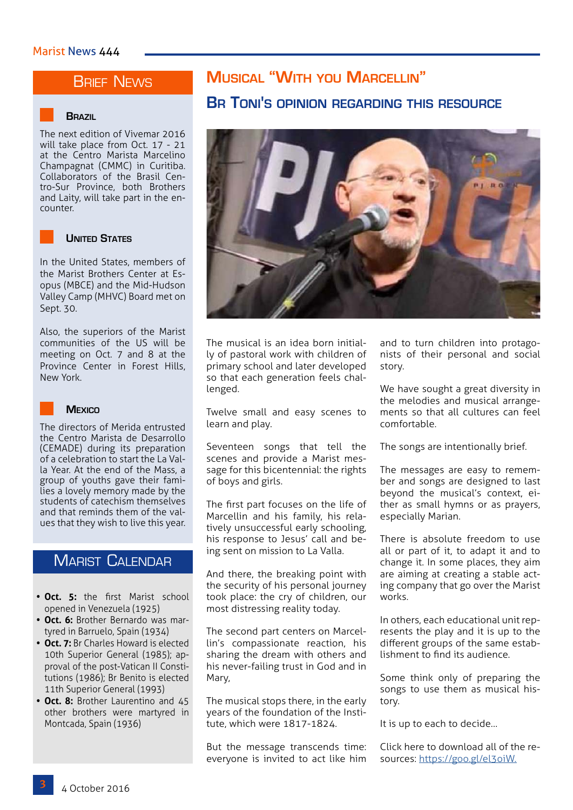## **BRIEF NEWS**

#### **Brazil**

The next edition of Vivemar 2016 will take place from Oct. 17 - 21 at the Centro Marista Marcelino Champagnat (CMMC) in Curitiba. Collaborators of the Brasil Centro-Sur Province, both Brothers and Laity, will take part in the encounter.



### **United States**

In the United States, members of the Marist Brothers Center at Esopus (MBCE) and the Mid-Hudson Valley Camp (MHVC) Board met on Sept. 30.

Also, the superiors of the Marist communities of the US will be meeting on Oct. 7 and 8 at the Province Center in Forest Hills, New York.



### **Mexico**

The directors of Merida entrusted the Centro Marista de Desarrollo (CEMADE) during its preparation of a celebration to start the La Valla Year. At the end of the Mass, a group of youths gave their families a lovely memory made by the students of catechism themselves and that reminds them of the values that they wish to live this year.

## Marist Calendar

- **• Oct. 5:** the first Marist school opened in Venezuela (1925)
- **• Oct. 6:** Brother Bernardo was martyred in Barruelo, Spain (1934)
- **• Oct. 7:** Br Charles Howard is elected 10th Superior General (1985); approval of the post-Vatican II Constitutions (1986); Br Benito is elected 11th Superior General (1993)
- **• Oct. 8:** Brother Laurentino and 45 other brothers were martyred in Montcada, Spain (1936)

# **Musical "With you Marcellin"**

## **Br Toni's opinion regarding this resource**



The musical is an idea born initially of pastoral work with children of primary school and later developed so that each generation feels challenged.

Twelve small and easy scenes to learn and play.

Seventeen songs that tell the scenes and provide a Marist message for this bicentennial: the rights of boys and girls.

The first part focuses on the life of Marcellin and his family, his relatively unsuccessful early schooling, his response to Jesus' call and being sent on mission to La Valla.

And there, the breaking point with the security of his personal journey took place: the cry of children, our most distressing reality today.

The second part centers on Marcellin's compassionate reaction, his sharing the dream with others and his never-failing trust in God and in Mary,

The musical stops there, in the early years of the foundation of the Institute, which were 1817-1824.

But the message transcends time: everyone is invited to act like him and to turn children into protagonists of their personal and social story.

We have sought a great diversity in the melodies and musical arrangements so that all cultures can feel comfortable.

The songs are intentionally brief.

The messages are easy to remember and songs are designed to last beyond the musical's context, either as small hymns or as prayers, especially Marian.

There is absolute freedom to use all or part of it, to adapt it and to change it. In some places, they aim are aiming at creating a stable acting company that go over the Marist works

In others, each educational unit represents the play and it is up to the different groups of the same establishment to find its audience.

Some think only of preparing the songs to use them as musical history.

It is up to each to decide…

Click here to download all of the resources: [https://goo.gl/el3oiW.](https://goo.gl/el3oiW)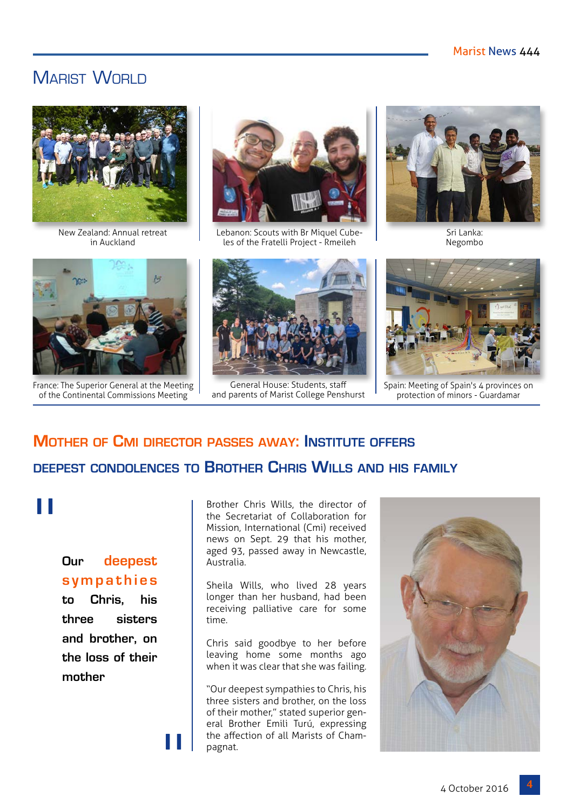## MARIST WORLD



New Zealand: Annual retreat in Auckland



France: The Superior General at the Meeting of the Continental Commissions Meeting



Lebanon: Scouts with Br Miquel Cubeles of the Fratelli Project - Rmeileh



General House: Students, staff and parents of Marist College Penshurst



Sri Lanka: Negombo



Spain: Meeting of Spain's 4 provinces on protection of minors - Guardamar

# **Mother of Cmi director passes away: Institute offers deepest condolences to Brother Chris Wills and his family**

# "

## **Our deepest s y m p a t h i e s**

**to Chris, his three sisters and brother, on the loss of their mother**

"

Brother Chris Wills, the director of the Secretariat of Collaboration for Mission, International (Cmi) received news on Sept. 29 that his mother, aged 93, passed away in Newcastle, Australia.

Sheila Wills, who lived 28 years longer than her husband, had been receiving palliative care for some time.

Chris said goodbye to her before leaving home some months ago when it was clear that she was failing.

"Our deepest sympathies to Chris, his three sisters and brother, on the loss of their mother," stated superior general Brother Emili Turú, expressing the affection of all Marists of Champagnat.

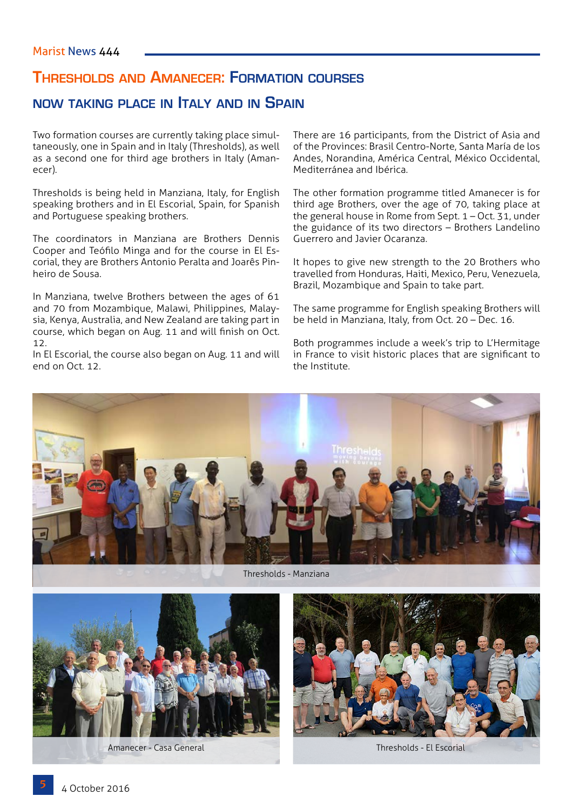## **Thresholds and Amanecer: Formation courses**

## **now taking place in Italy and in Spain**

Two formation courses are currently taking place simultaneously, one in Spain and in Italy (Thresholds), as well as a second one for third age brothers in Italy (Amanecer).

Thresholds is being held in Manziana, Italy, for English speaking brothers and in El Escorial, Spain, for Spanish and Portuguese speaking brothers.

The coordinators in Manziana are Brothers Dennis Cooper and Teófilo Minga and for the course in El Escorial, they are Brothers Antonio Peralta and Joarês Pinheiro de Sousa.

In Manziana, twelve Brothers between the ages of 61 and 70 from Mozambique, Malawi, Philippines, Malaysia, Kenya, Australia, and New Zealand are taking part in course, which began on Aug. 11 and will finish on Oct. 12.

In El Escorial, the course also began on Aug. 11 and will end on Oct. 12.

There are 16 participants, from the District of Asia and of the Provinces: Brasil Centro-Norte, Santa María de los Andes, Norandina, América Central, México Occidental, Mediterránea and Ibérica.

The other formation programme titled Amanecer is for third age Brothers, over the age of 70, taking place at the general house in Rome from Sept. 1 – Oct. 31, under the guidance of its two directors – Brothers Landelino Guerrero and Javier Ocaranza.

It hopes to give new strength to the 20 Brothers who travelled from Honduras, Haiti, Mexico, Peru, Venezuela, Brazil, Mozambique and Spain to take part.

The same programme for English speaking Brothers will be held in Manziana, Italy, from Oct. 20 – Dec. 16.

Both programmes include a week's trip to L'Hermitage in France to visit historic places that are significant to the Institute.





Amanecer - Casa General Thresholds - El Escorial Thresholds - El Escorial